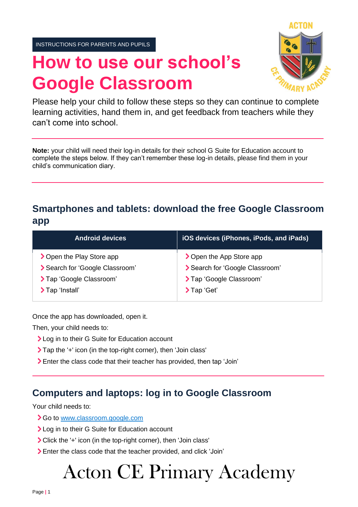INSTRUCTIONS FOR PARENTS AND PUPILS

# **How to use our school's Google Classroom**



Please help your child to follow these steps so they can continue to complete learning activities, hand them in, and get feedback from teachers while they can't come into school.

**Note:** your child will need their log-in details for their school G Suite for Education account to complete the steps below. If they can't remember these log-in details, please find them in your child's communication diary.

## **Smartphones and tablets: download the free Google Classroom app**

| <b>Android devices</b>          | iOS devices (iPhones, iPods, and iPads) |
|---------------------------------|-----------------------------------------|
| > Open the Play Store app       | > Open the App Store app                |
| > Search for 'Google Classroom' | Search for 'Google Classroom'           |
| > Tap 'Google Classroom'        | > Tap 'Google Classroom'                |
| >Tap 'Install'                  | $\sum$ Tap 'Get'                        |

Once the app has downloaded, open it.

Then, your child needs to:

- > Log in to their G Suite for Education account
- Tap the '+' icon (in the top-right corner), then 'Join class'
- Enter the class code that their teacher has provided, then tap 'Join'

#### **Computers and laptops: log in to Google Classroom**

Your child needs to:

- Go to [www.classroom.google.com](http://www.classroom.google.com/)
- > Log in to their G Suite for Education account
- Click the '+' icon (in the top-right corner), then 'Join class'
- Enter the class code that the teacher provided, and click 'Join'

# Acton CE Primary Academy